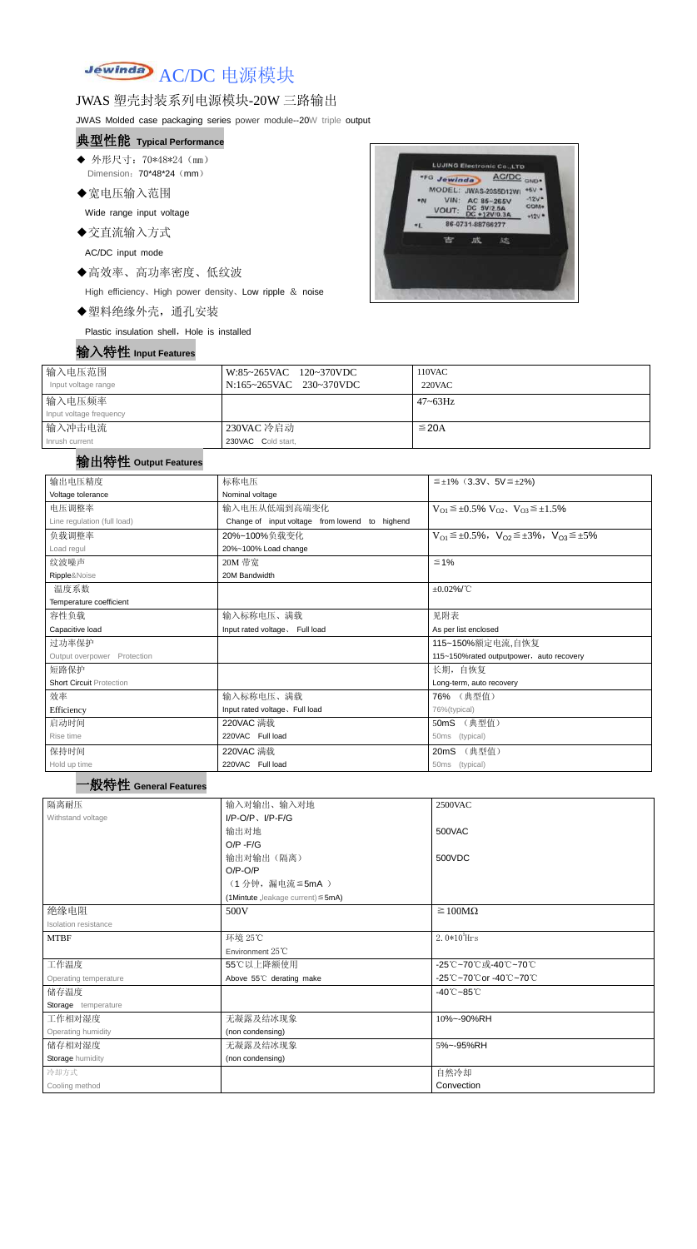# Jewinda AC/DC 电源模块

# JWAS 塑壳封装系列电源模块-20W 三路输出

JWAS Molded case packaging series power module--20W triple output

- ◆ 外形尺寸: 70\*48\*24 (mm) Dimension: 70\*48\*24 (mm)
- ◆宽电压输入范围

### 典型性能 **Typical Performance**

Wide range input voltage

◆交直流输入方式

AC/DC input mode

◆高效率、高功率密度、低纹波

High efficiency、High power density、Low ripple & noise

◆塑料绝缘外壳,通孔安装

Plastic insulation shell, Hole is installed



| 输入电压范围                  | W:85~265VAC 120~370VDC  | 110VAC       |
|-------------------------|-------------------------|--------------|
| Input voltage range     | N:165~265VAC 230~370VDC | $220$ VAC    |
| 输入电压频率                  |                         | $47 - 63$ Hz |
| Input voltage frequency |                         |              |
| 输入冲击电流                  | 230VAC 冷启动              | $\leq$ 20A   |
| Inrush current          | 230VAC Cold start,      |              |

# 输出特性 **Output Features**

| 输出电压精度                          | 标称电压                                           | $\leq \pm 1\%$ (3.3V, 5V $\leq \pm 2\%$ )                               |  |
|---------------------------------|------------------------------------------------|-------------------------------------------------------------------------|--|
| Voltage tolerance               | Nominal voltage                                |                                                                         |  |
| 电压调整率                           | 输入电压从低端到高端变化                                   | $V_{O1} \leq \pm 0.5\% \text{ V}_{O2}$ , $V_{O3} \leq \pm 1.5\%$        |  |
| Line regulation (full load)     | Change of input voltage from lowend to highend |                                                                         |  |
| 负载调整率                           | 20%~100%负载变化                                   | $V_{O1} \leq \pm 0.5\%$ , $V_{O2} \leq \pm 3\%$ , $V_{O3} \leq \pm 5\%$ |  |
| Load regul                      | 20%~100% Load change                           |                                                                         |  |
| 纹波噪声                            | 20M 带宽                                         | $≤ 1%$                                                                  |  |
| Ripple&Noise                    | 20M Bandwidth                                  |                                                                         |  |
| 温度系数                            |                                                | $\pm 0.02\%$ /°C                                                        |  |
| Temperature coefficient         |                                                |                                                                         |  |
| 容性负载                            | 输入标称电压、满载                                      | 见附表                                                                     |  |
| Capacitive load                 | Input rated voltage. Full load                 | As per list enclosed                                                    |  |
| 过功率保护                           |                                                | 115~150%额定电流,自恢复                                                        |  |
| Output overpower Protection     |                                                | 115~150%rated outputpower, auto recovery                                |  |
| 短路保护                            |                                                | 长期, 自恢复                                                                 |  |
| <b>Short Circuit Protection</b> |                                                | Long-term, auto recovery                                                |  |
| 效率                              | 输入标称电压、满载                                      | 76% (典型值)                                                               |  |
| Efficiency                      | Input rated voltage. Full load                 | 76%(typical)                                                            |  |
| 启动时间                            | 220VAC 满载                                      | 50mS (典型值)                                                              |  |
| Rise time                       | 220VAC Full load                               | 50ms (typical)                                                          |  |
| 保持时间                            | 220VAC 满载                                      | 20mS (典型值)                                                              |  |
| Hold up time                    | 220VAC Full load                               | 50ms (typical)                                                          |  |
| '般特性 General Features           |                                                |                                                                         |  |
| 隔离耐压                            | 输入对输出、输入对地                                     | 2500VAC                                                                 |  |
| Withstand voltage               | $I/P-O/P$ , $I/P$ -F/G                         |                                                                         |  |
|                                 | 输出对地                                           | 500VAC                                                                  |  |
|                                 | $O/P - F/G$                                    |                                                                         |  |
|                                 | 输出对输出(隔离)                                      | 500VDC                                                                  |  |
|                                 | $O/P-O/P$                                      |                                                                         |  |
|                                 | (1分钟,漏电流≦5mA)                                  |                                                                         |  |
|                                 | (1Mintute, leakage current) $\leq$ 5mA)        |                                                                         |  |
| 绝缘电阻                            | 500V                                           | $\geq 100M\Omega$                                                       |  |
| Isolation resistance            |                                                |                                                                         |  |
| <b>MTBF</b>                     | 环境 25℃                                         | $2.0*105$ Hrs                                                           |  |
|                                 | Environment 25°C                               |                                                                         |  |
| 工作温度                            | 55℃以上降额使用                                      | -25℃~70℃或-40℃~70℃                                                       |  |
| Operating temperature           | Above 55°C derating make                       | -25℃~70℃or -40℃~70℃                                                     |  |
| 储存温度                            |                                                | $-40^{\circ}$ C $-85^{\circ}$ C                                         |  |
| Storage temperature             |                                                |                                                                         |  |
| 工作相对湿度                          | 无凝露及结冰现象                                       | 10%~-90%RH                                                              |  |
| Operating humidity              | (non condensing)                               |                                                                         |  |
| 储存相对湿度                          | 无凝露及结冰现象                                       | 5%~-95%RH                                                               |  |
| Storage humidity                | (non condensing)                               |                                                                         |  |
| 冷却方式                            |                                                | 自然冷却                                                                    |  |
| Cooling method                  |                                                | Convection                                                              |  |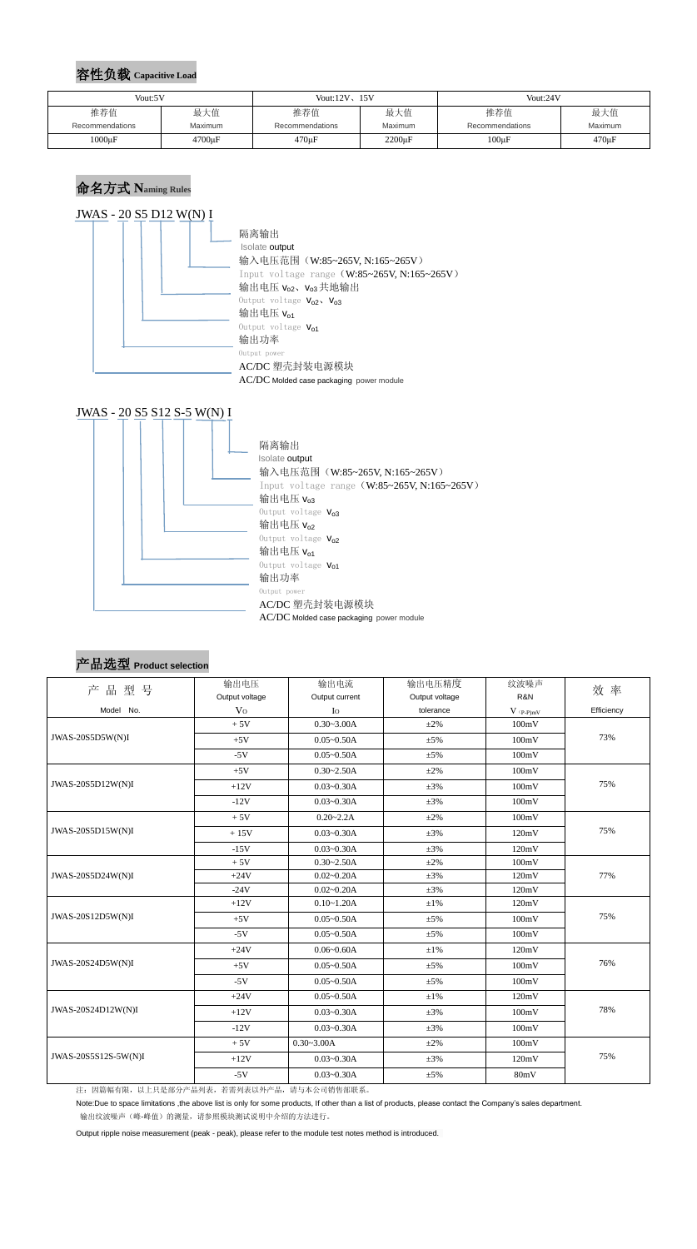## 容性负载 **Capacitive Load**

#### 命名方式 **Naming Rules**





#### 产品选型 **Product selection**

|                      | 输出电压           | 输出电流           | 输出电压精度                                     | 纹波噪声  |            |  |
|----------------------|----------------|----------------|--------------------------------------------|-------|------------|--|
| 产品型号                 | Output voltage | Output current | Output voltage                             | R&N   | 效率         |  |
| Model No.            | V <sub>0</sub> | I <sub>O</sub> | tolerance<br>$V$ $\mathrm{(p\text{-}p)mV}$ |       | Efficiency |  |
|                      | $+5V$          | $0.30 - 3.00A$ | $\pm 2\%$                                  | 100mV |            |  |
| JWAS-20S5D5W(N)I     | $+5V$          | $0.05 - 0.50A$ | $\pm 5\%$                                  | 100mV | 73%        |  |
|                      | $-5V$          | $0.05 - 0.50A$ | $\pm 5\%$                                  | 100mV |            |  |
|                      | $+5V$          | $0.30 - 2.50A$ | $\pm 2\%$                                  | 100mV |            |  |
| JWAS-20S5D12W(N)I    | $+12V$         | $0.03 - 0.30A$ | $\pm 3\%$                                  | 100mV | 75%        |  |
|                      | $-12V$         | $0.03 - 0.30A$ | $\pm 3\%$                                  | 100mV |            |  |
|                      | $+5V$          | $0.20 - 2.2A$  | $\pm 2\%$                                  | 100mV |            |  |
| JWAS-20S5D15W(N)I    | $+15V$         | $0.03 - 0.30A$ | $\pm 3\%$                                  | 120mV | 75%        |  |
|                      | $-15V$         | $0.03 - 0.30A$ | $\pm 3\%$                                  | 120mV |            |  |
| JWAS-20S5D24W(N)I    | $+5V$          | $0.30 - 2.50A$ | $\pm 2\%$                                  | 100mV | 77%        |  |
|                      | $+24V$         | $0.02 - 0.20A$ | $\pm 3\%$                                  | 120mV |            |  |
|                      | $-24V$         | $0.02 - 0.20A$ | $\pm 3\%$                                  | 120mV |            |  |
| JWAS-20S12D5W(N)I    | $+12V$         | $0.10 - 1.20A$ | $\pm1\%$                                   | 120mV |            |  |
|                      | $+5V$          | $0.05 - 0.50A$ | 100mV<br>$\pm 5\%$                         |       | 75%        |  |
|                      | $-5V$          | $0.05 - 0.50A$ | $\pm 5\%$                                  | 100mV |            |  |
|                      | $+24V$         | $0.06 - 0.60A$ | $±1\%$                                     | 120mV |            |  |
| JWAS-20S24D5W(N)I    | $+5V$          | $0.05 - 0.50A$ | $\pm 5\%$                                  | 100mV | 76%        |  |
|                      | $-5V$          | $0.05 - 0.50A$ | $\pm 5\%$                                  | 100mV |            |  |
| JWAS-20S24D12W(N)I   | $+24V$         | $0.05 - 0.50A$ | $±1\%$                                     | 120mV |            |  |
|                      | $+12V$         | $0.03 - 0.30A$ | $\pm 3\%$                                  | 100mV | 78%        |  |
|                      | $-12V$         | $0.03 - 0.30A$ | $\pm 3\%$                                  | 100mV |            |  |
|                      | $+5V$          | $0.30 - 3.00A$ | $\pm 2\%$                                  | 100mV |            |  |
| JWAS-20S5S12S-5W(N)I | $+12V$         | $0.03 - 0.30A$ | $\pm 3\%$                                  | 120mV | 75%        |  |
|                      | $-5V$          | $0.03 - 0.30A$ | $\pm 5\%$                                  | 80mV  |            |  |

注:因篇幅有限,以上只是部分产品列表,若需列表以外产品,请与本公司销售部联系。

Note:Due to space limitations ,the above list is only for some products, If other than a list of products, please contact the Company's sales department. 输出纹波噪声(峰-峰值)的测量,请参照模块测试说明中介绍的方法进行。

Output ripple noise measurement (peak - peak), please refer to the module test notes method is introduced.

| Vout:5V         |         | Vout: $12V$ , $15V$    |                | Vout:24V        |                |  |
|-----------------|---------|------------------------|----------------|-----------------|----------------|--|
| 推荐值             | 最大值     | 推荐值                    | 最大值            | 推荐值             | 最大值            |  |
| Recommendations | Maximum | <b>Recommendations</b> | <b>Maximum</b> | Recommendations | <b>Maximum</b> |  |
| $1000\mu F$     | 4700µF  | $470 \mu F$            | $2200 \mu F$   | $100\mu F$      | $470 \mu F$    |  |